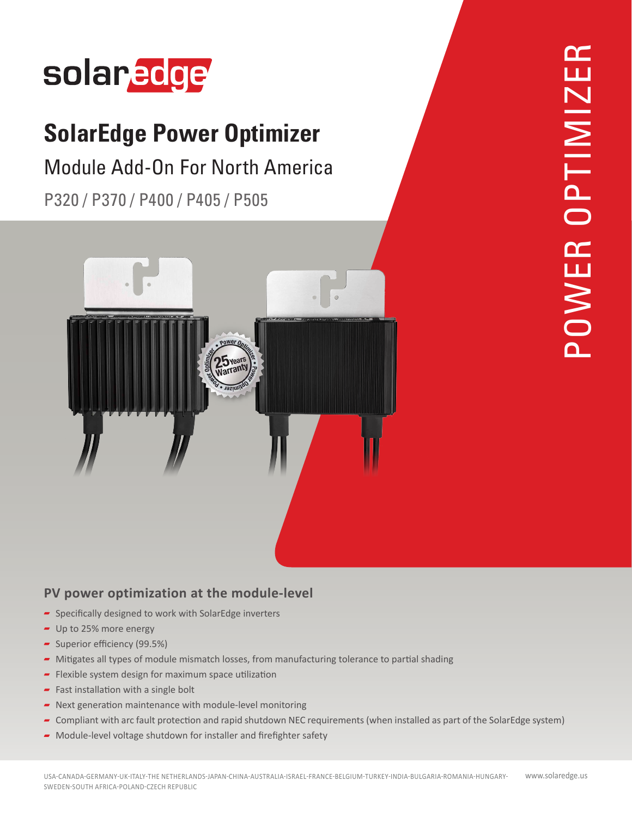

## **SolarEdge Power Optimizer**

## Module Add-On For North America

P320 / P370 / P400 / P405 / P505



#### **PV power optimization at the module-level**

- $\blacktriangleright$  Specifically designed to work with SolarEdge inverters
- Up to 25% more energy
- $\sim$  Superior efficiency (99.5%)
- Mitigates all types of module mismatch losses, from manufacturing tolerance to partial shading
- $\blacksquare$  Flexible system design for maximum space utilization
- Fast installation with a single bolt
- $\blacksquare$  Next generation maintenance with module-level monitoring
- Compliant with arc fault protection and rapid shutdown NEC requirements (when installed as part of the SolarEdge system)
- $\blacksquare$  Module-level voltage shutdown for installer and firefighter safety